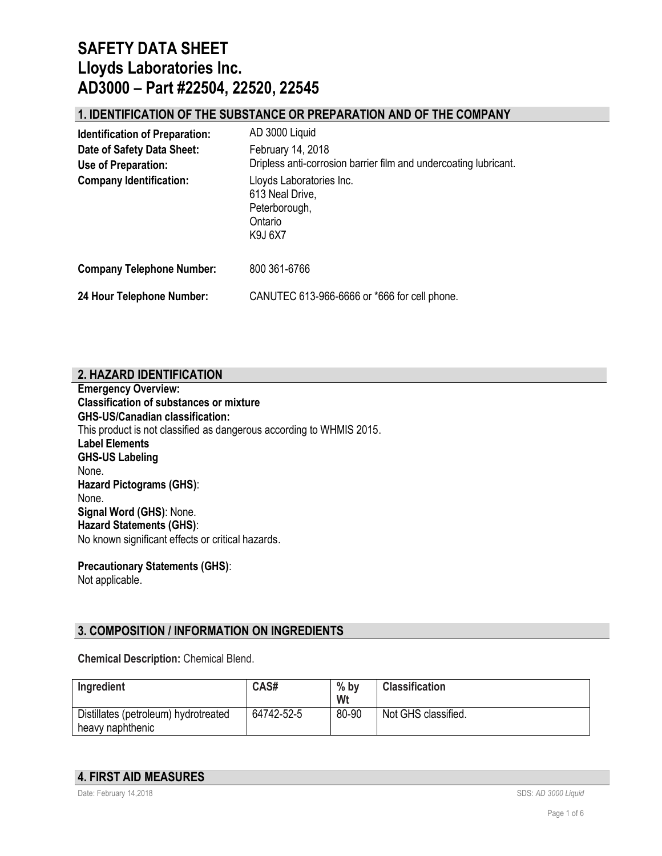### **1. IDENTIFICATION OF THE SUBSTANCE OR PREPARATION AND OF THE COMPANY**

| <b>Identification of Preparation:</b>             | AD 3000 Liquid                                                                            |  |
|---------------------------------------------------|-------------------------------------------------------------------------------------------|--|
| Date of Safety Data Sheet:<br>Use of Preparation: | February 14, 2018<br>Dripless anti-corrosion barrier film and undercoating lubricant.     |  |
| <b>Company Identification:</b>                    | Lloyds Laboratories Inc.<br>613 Neal Drive,<br>Peterborough,<br>Ontario<br><b>K9J 6X7</b> |  |
| <b>Company Telephone Number:</b>                  | 800 361-6766                                                                              |  |
| 24 Hour Telephone Number:                         | CANUTEC 613-966-6666 or *666 for cell phone.                                              |  |

## **2. HAZARD IDENTIFICATION**

**Emergency Overview: Classification of substances or mixture GHS-US/Canadian classification:** This product is not classified as dangerous according to WHMIS 2015. **Label Elements GHS-US Labeling** None. **Hazard Pictograms (GHS)**: None. **Signal Word (GHS)**: None. **Hazard Statements (GHS)**: No known significant effects or critical hazards.

**Precautionary Statements (GHS)**: Not applicable.

## **3. COMPOSITION / INFORMATION ON INGREDIENTS**

**Chemical Description:** Chemical Blend.

| Ingredient                                               | CAS#       | $%$ by<br>Wt | <b>Classification</b> |
|----------------------------------------------------------|------------|--------------|-----------------------|
| Distillates (petroleum) hydrotreated<br>heavy naphthenic | 64742-52-5 | 80-90        | Not GHS classified.   |

#### **4. FIRST AID MEASURES**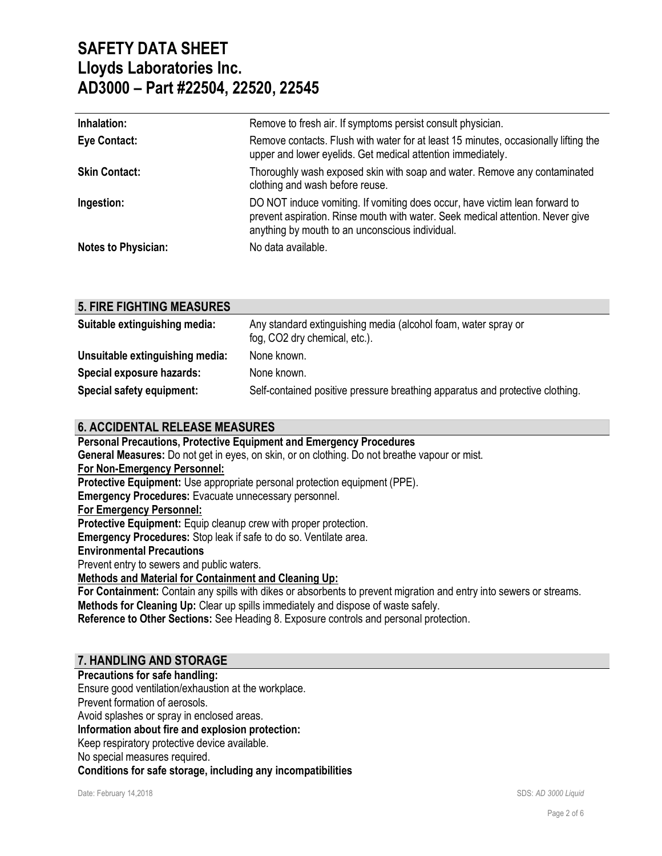| Inhalation:          | Remove to fresh air. If symptoms persist consult physician.                                                                                                                                                      |
|----------------------|------------------------------------------------------------------------------------------------------------------------------------------------------------------------------------------------------------------|
| <b>Eye Contact:</b>  | Remove contacts. Flush with water for at least 15 minutes, occasionally lifting the<br>upper and lower eyelids. Get medical attention immediately.                                                               |
| <b>Skin Contact:</b> | Thoroughly wash exposed skin with soap and water. Remove any contaminated<br>clothing and wash before reuse.                                                                                                     |
| Ingestion:           | DO NOT induce vomiting. If vomiting does occur, have victim lean forward to<br>prevent aspiration. Rinse mouth with water. Seek medical attention. Never give<br>anything by mouth to an unconscious individual. |
| Notes to Physician:  | No data available.                                                                                                                                                                                               |

### **5. FIRE FIGHTING MEASURES**

| Suitable extinguishing media:   | Any standard extinguishing media (alcohol foam, water spray or<br>fog, CO2 dry chemical, etc.). |
|---------------------------------|-------------------------------------------------------------------------------------------------|
| Unsuitable extinguishing media: | None known.                                                                                     |
| Special exposure hazards:       | None known.                                                                                     |
| Special safety equipment:       | Self-contained positive pressure breathing apparatus and protective clothing.                   |

### **6. ACCIDENTAL RELEASE MEASURES**

**Personal Precautions, Protective Equipment and Emergency Procedures General Measures:** Do not get in eyes, on skin, or on clothing. Do not breathe vapour or mist. **For Non-Emergency Personnel: Protective Equipment:** Use appropriate personal protection equipment (PPE). **Emergency Procedures:** Evacuate unnecessary personnel. **For Emergency Personnel:** Protective Equipment: Equip cleanup crew with proper protection. **Emergency Procedures:** Stop leak if safe to do so. Ventilate area. **Environmental Precautions** Prevent entry to sewers and public waters. **Methods and Material for Containment and Cleaning Up: For Containment:** Contain any spills with dikes or absorbents to prevent migration and entry into sewers or streams. **Methods for Cleaning Up:** Clear up spills immediately and dispose of waste safely. **Reference to Other Sections:** See Heading 8. Exposure controls and personal protection.

## **7. HANDLING AND STORAGE**

**Precautions for safe handling:** Ensure good ventilation/exhaustion at the workplace. Prevent formation of aerosols. Avoid splashes or spray in enclosed areas. **Information about fire and explosion protection:** Keep respiratory protective device available. No special measures required. **Conditions for safe storage, including any incompatibilities**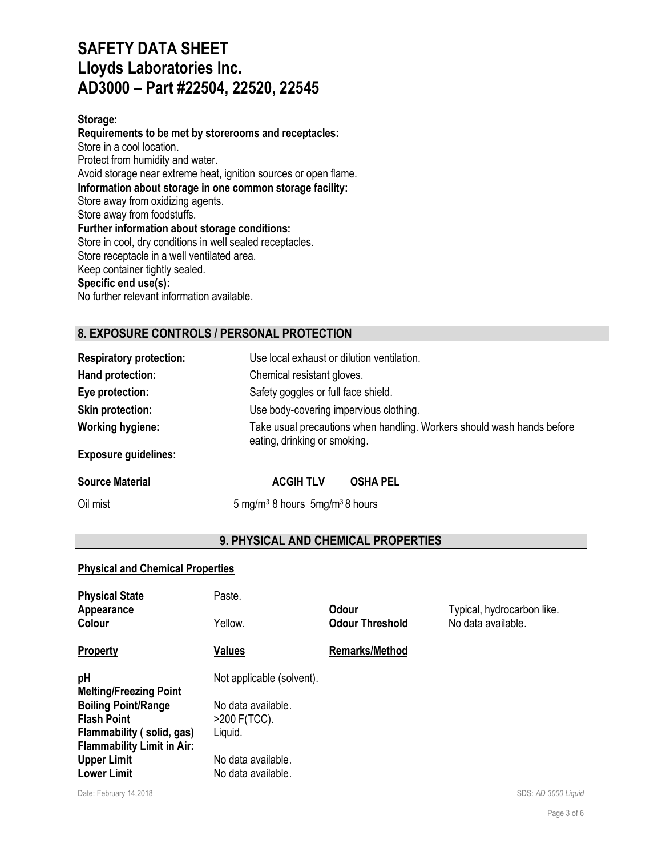#### **Storage:**

**Requirements to be met by storerooms and receptacles:** Store in a cool location. Protect from humidity and water. Avoid storage near extreme heat, ignition sources or open flame. **Information about storage in one common storage facility:** Store away from oxidizing agents. Store away from foodstuffs. **Further information about storage conditions:** Store in cool, dry conditions in well sealed receptacles. Store receptacle in a well ventilated area. Keep container tightly sealed. **Specific end use(s):**

No further relevant information available.

## **8. EXPOSURE CONTROLS / PERSONAL PROTECTION**

| <b>Respiratory protection:</b> | Use local exhaust or dilution ventilation.                                                             |  |
|--------------------------------|--------------------------------------------------------------------------------------------------------|--|
| Hand protection:               | Chemical resistant gloves.                                                                             |  |
| Eye protection:                | Safety goggles or full face shield.                                                                    |  |
| <b>Skin protection:</b>        | Use body-covering impervious clothing.                                                                 |  |
| <b>Working hygiene:</b>        | Take usual precautions when handling. Workers should wash hands before<br>eating, drinking or smoking. |  |
| <b>Exposure guidelines:</b>    |                                                                                                        |  |
| <b>Source Material</b>         | <b>ACGIH TLV</b><br><b>OSHA PEL</b>                                                                    |  |
| Oil mist                       | 5 mg/m <sup>3</sup> 8 hours $5$ mg/m <sup>3</sup> 8 hours                                              |  |

### **9. PHYSICAL AND CHEMICAL PROPERTIES**

#### **Physical and Chemical Properties**

| <b>Physical State</b><br>Appearance<br>Colour                                                                                                                                                         | Paste.<br>Yellow.                                                                                                        | Odour<br><b>Odour Threshold</b> | Typical, hydrocarbon like.<br>No data available. |
|-------------------------------------------------------------------------------------------------------------------------------------------------------------------------------------------------------|--------------------------------------------------------------------------------------------------------------------------|---------------------------------|--------------------------------------------------|
| <b>Property</b>                                                                                                                                                                                       | <b>Values</b>                                                                                                            | <b>Remarks/Method</b>           |                                                  |
| pH<br><b>Melting/Freezing Point</b><br><b>Boiling Point/Range</b><br><b>Flash Point</b><br>Flammability (solid, gas)<br><b>Flammability Limit in Air:</b><br><b>Upper Limit</b><br><b>Lower Limit</b> | Not applicable (solvent).<br>No data available.<br>$>200$ F(TCC).<br>Liguid.<br>No data available.<br>No data available. |                                 |                                                  |

Date: February 14.2018 **SDS: AD** 3000 Liquid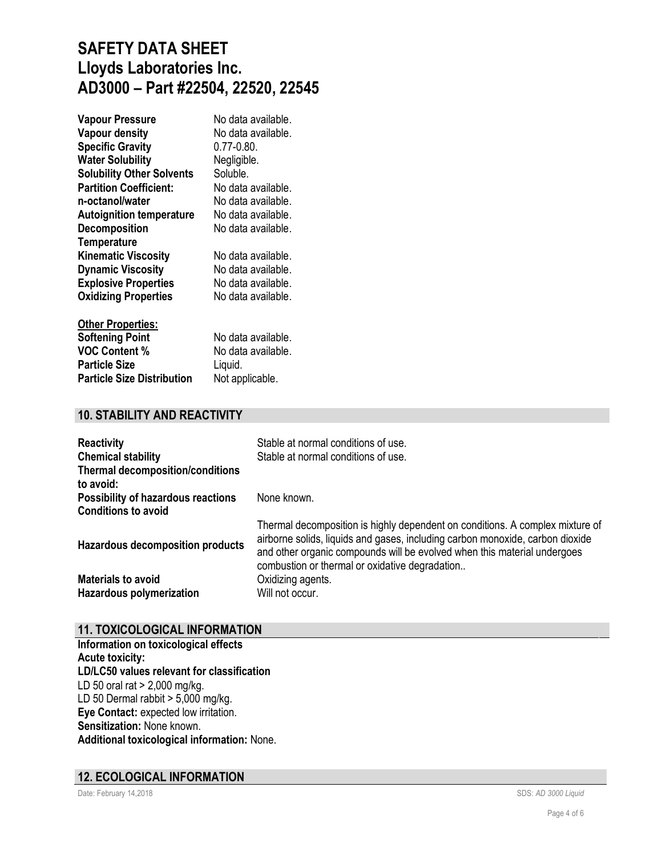| <b>Vapour Pressure</b>           | No data available. |
|----------------------------------|--------------------|
| <b>Vapour density</b>            | No data available. |
| <b>Specific Gravity</b>          | $0.77 - 0.80$      |
| <b>Water Solubility</b>          | Negligible.        |
| <b>Solubility Other Solvents</b> | Soluble.           |
| <b>Partition Coefficient:</b>    | No data available. |
| n-octanol/water                  | No data available. |
| <b>Autoignition temperature</b>  | No data available. |
| <b>Decomposition</b>             | No data available. |
| <b>Temperature</b>               |                    |
| <b>Kinematic Viscosity</b>       | No data available. |
| <b>Dynamic Viscosity</b>         | No data available. |
| <b>Explosive Properties</b>      | No data available. |
| <b>Oxidizing Properties</b>      | No data available. |
| <b>Other Properties:</b>         |                    |

| <b>Softening Point</b>            | No data available. |
|-----------------------------------|--------------------|
| <b>VOC Content %</b>              | No data available. |
| <b>Particle Size</b>              | Liguid.            |
| <b>Particle Size Distribution</b> | Not applicable.    |

### **10. STABILITY AND REACTIVITY**

| <b>Reactivity</b>                                                       | Stable at normal conditions of use.                                                                                                                                                                                                                                                          |
|-------------------------------------------------------------------------|----------------------------------------------------------------------------------------------------------------------------------------------------------------------------------------------------------------------------------------------------------------------------------------------|
| <b>Chemical stability</b>                                               | Stable at normal conditions of use.                                                                                                                                                                                                                                                          |
| <b>Thermal decomposition/conditions</b><br>to avoid:                    |                                                                                                                                                                                                                                                                                              |
| <b>Possibility of hazardous reactions</b><br><b>Conditions to avoid</b> | None known.                                                                                                                                                                                                                                                                                  |
| <b>Hazardous decomposition products</b>                                 | Thermal decomposition is highly dependent on conditions. A complex mixture of<br>airborne solids, liquids and gases, including carbon monoxide, carbon dioxide<br>and other organic compounds will be evolved when this material undergoes<br>combustion or thermal or oxidative degradation |
| <b>Materials to avoid</b>                                               | Oxidizing agents.                                                                                                                                                                                                                                                                            |
| Hazardous polymerization                                                | Will not occur.                                                                                                                                                                                                                                                                              |

### **11. TOXICOLOGICAL INFORMATION**

**Information on toxicological effects Acute toxicity: LD/LC50 values relevant for classification** LD 50 oral rat > 2,000 mg/kg. LD 50 Dermal rabbit  $> 5,000$  mg/kg. **Eye Contact:** expected low irritation. **Sensitization:** None known. **Additional toxicological information:** None.

#### **12. ECOLOGICAL INFORMATION**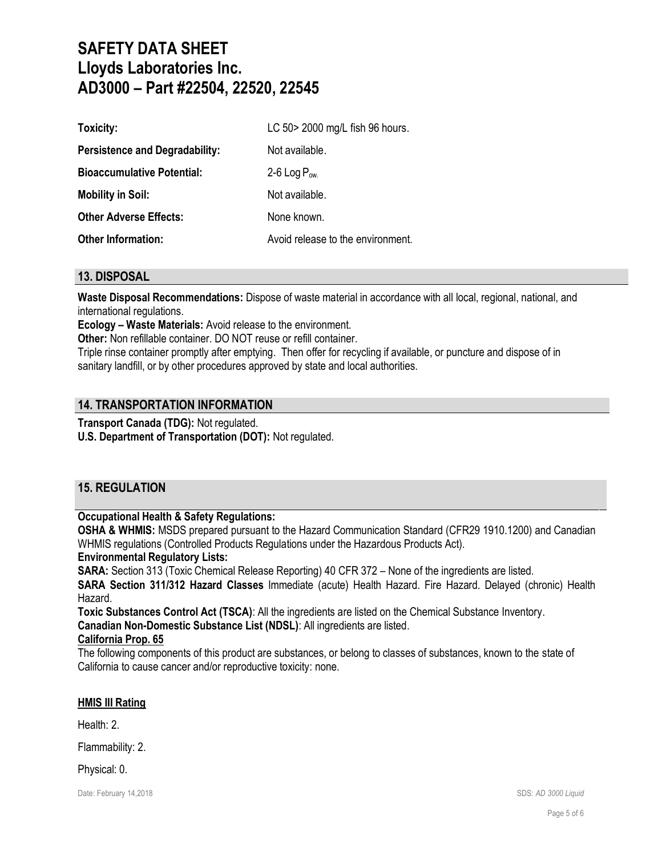| Toxicity:                             | LC 50> 2000 mg/L fish 96 hours.   |
|---------------------------------------|-----------------------------------|
| <b>Persistence and Degradability:</b> | Not available.                    |
| <b>Bioaccumulative Potential:</b>     | 2-6 Log $P_{ow}$                  |
| <b>Mobility in Soil:</b>              | Not available.                    |
| <b>Other Adverse Effects:</b>         | None known.                       |
| <b>Other Information:</b>             | Avoid release to the environment. |

#### **13. DISPOSAL**

**Waste Disposal Recommendations:** Dispose of waste material in accordance with all local, regional, national, and international regulations.

**Ecology – Waste Materials:** Avoid release to the environment.

**Other:** Non refillable container. DO NOT reuse or refill container.

Triple rinse container promptly after emptying. Then offer for recycling if available, or puncture and dispose of in sanitary landfill, or by other procedures approved by state and local authorities.

#### **14. TRANSPORTATION INFORMATION**

**Transport Canada (TDG):** Not regulated.

**U.S. Department of Transportation (DOT):** Not regulated.

### **15. REGULATION**

#### **Occupational Health & Safety Regulations:**

**OSHA & WHMIS:** MSDS prepared pursuant to the Hazard Communication Standard (CFR29 1910.1200) and Canadian WHMIS regulations (Controlled Products Regulations under the Hazardous Products Act).

#### **Environmental Regulatory Lists:**

**SARA:** Section 313 (Toxic Chemical Release Reporting) 40 CFR 372 – None of the ingredients are listed.

**SARA Section 311/312 Hazard Classes** Immediate (acute) Health Hazard. Fire Hazard. Delayed (chronic) Health Hazard.

**Toxic Substances Control Act (TSCA)**: All the ingredients are listed on the Chemical Substance Inventory.

**Canadian Non-Domestic Substance List (NDSL)**: All ingredients are listed.

#### **California Prop. 65**

The following components of this product are substances, or belong to classes of substances, known to the state of California to cause cancer and/or reproductive toxicity: none.

#### **HMIS III Rating**

Health: 2.

Flammability: 2.

Physical: 0.

Date: February 14.2018 **SDS: AD** 3000 Liquid